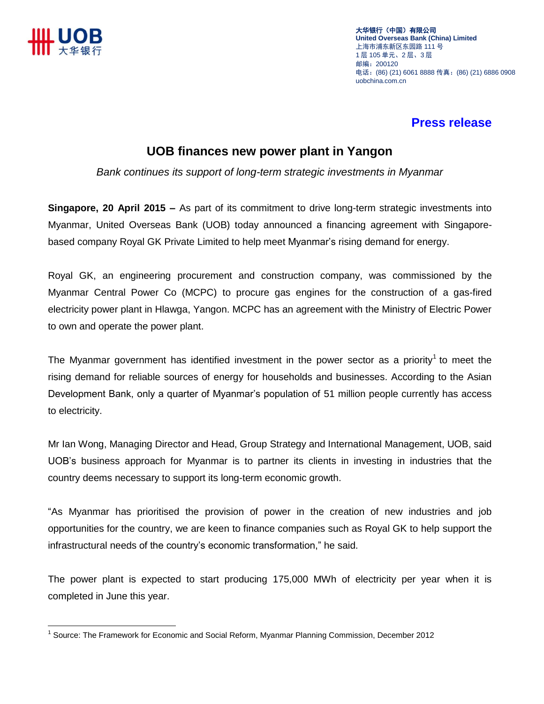

大华银行(中国)有限公司 **United Overseas Bank (China) Limited** 上海市浦东新区东园路 111 号 1 层 105 单元、2 层、3 层 邮编:200120 电话:(86) (21) 6061 8888 传真:(86) (21) 6886 0908 uobchina.com.cn

## **Press release**

## **UOB finances new power plant in Yangon**

*Bank continues its support of long-term strategic investments in Myanmar*

**Singapore, 20 April 2015 –** As part of its commitment to drive long-term strategic investments into Myanmar, United Overseas Bank (UOB) today announced a financing agreement with Singaporebased company Royal GK Private Limited to help meet Myanmar's rising demand for energy.

Royal GK, an engineering procurement and construction company, was commissioned by the Myanmar Central Power Co (MCPC) to procure gas engines for the construction of a gas-fired electricity power plant in Hlawga, Yangon. MCPC has an agreement with the Ministry of Electric Power to own and operate the power plant.

The Myanmar government has identified investment in the power sector as a priority<sup>1</sup> to meet the rising demand for reliable sources of energy for households and businesses. According to the Asian Development Bank, only a quarter of Myanmar's population of 51 million people currently has access to electricity.

Mr Ian Wong, Managing Director and Head, Group Strategy and International Management, UOB, said UOB's business approach for Myanmar is to partner its clients in investing in industries that the country deems necessary to support its long-term economic growth.

"As Myanmar has prioritised the provision of power in the creation of new industries and job opportunities for the country, we are keen to finance companies such as Royal GK to help support the infrastructural needs of the country's economic transformation," he said.

The power plant is expected to start producing 175,000 MWh of electricity per year when it is completed in June this year.

 $\overline{a}$ 1 Source: The Framework for Economic and Social Reform, Myanmar Planning Commission, December 2012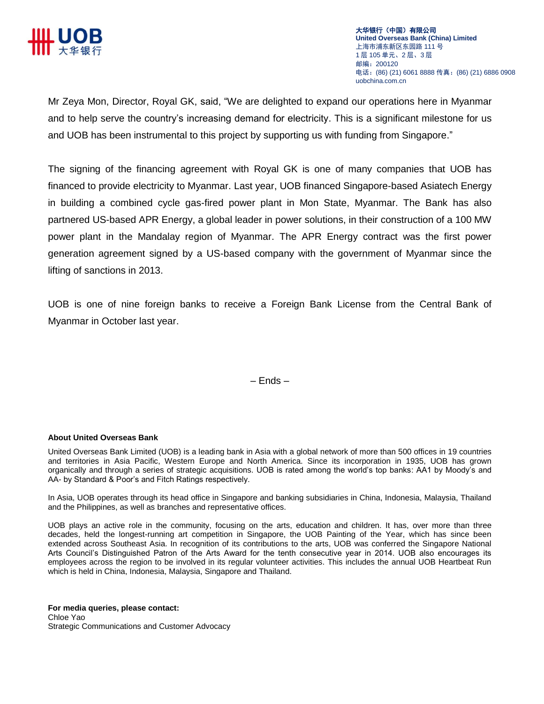

Mr Zeya Mon, Director, Royal GK, said, "We are delighted to expand our operations here in Myanmar and to help serve the country's increasing demand for electricity. This is a significant milestone for us and UOB has been instrumental to this project by supporting us with funding from Singapore."

The signing of the financing agreement with Royal GK is one of many companies that UOB has financed to provide electricity to Myanmar. Last year, UOB financed Singapore-based Asiatech Energy in building a combined cycle gas-fired power plant in Mon State, Myanmar. The Bank has also partnered US-based APR Energy, a global leader in power solutions, in their construction of a 100 MW power plant in the Mandalay region of Myanmar. The APR Energy contract was the first power generation agreement signed by a US-based company with the government of Myanmar since the lifting of sanctions in 2013.

UOB is one of nine foreign banks to receive a Foreign Bank License from the Central Bank of Myanmar in October last year.

– Ends –

## **About United Overseas Bank**

United Overseas Bank Limited (UOB) is a leading bank in Asia with a global network of more than 500 offices in 19 countries and territories in Asia Pacific, Western Europe and North America. Since its incorporation in 1935, UOB has grown organically and through a series of strategic acquisitions. UOB is rated among the world's top banks: AA1 by Moody's and AA- by Standard & Poor's and Fitch Ratings respectively.

In Asia, UOB operates through its head office in Singapore and banking subsidiaries in China, Indonesia, Malaysia, Thailand and the Philippines, as well as branches and representative offices.

UOB plays an active role in the community, focusing on the arts, education and children. It has, over more than three decades, held the longest-running art competition in Singapore, the UOB Painting of the Year, which has since been extended across Southeast Asia. In recognition of its contributions to the arts, UOB was conferred the Singapore National Arts Council's Distinguished Patron of the Arts Award for the tenth consecutive year in 2014. UOB also encourages its employees across the region to be involved in its regular volunteer activities. This includes the annual UOB Heartbeat Run which is held in China, Indonesia, Malaysia, Singapore and Thailand.

**For media queries, please contact:**  Chloe Yao Strategic Communications and Customer Advocacy